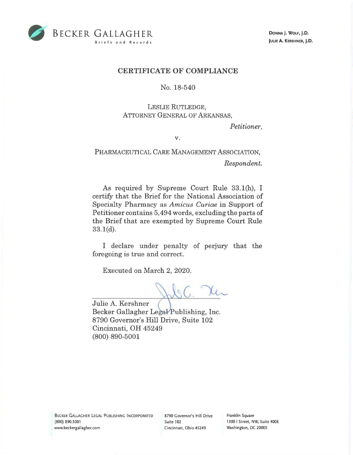

**DONNA). WOLF, J.D. JULIE A. KERSHNER, J.D.** 

## **CERTIFICATE OF COMPLIANCE**

## No. 18-540

## LESLIE RUTLEDGE, ATTORNEY GENERAL OF ARKANSAS,

*Petitioner,* 

**V.** 

PHARMACEUTICAL CARE MANAGEMENT ASSOCIATION, *Respondent.* 

As required by Supreme Court Rule 33.1(h), I certify that the Brief for the National Association of Specialty Pharmacy as *Amicus Curiae* in Support of Petitioner contains 5,494 words, excluding the parts of the Brief that are exempted by Supreme Court Rule 33.l(d).

I declare under penalty of perjury that the foregoing is true and correct.

Executed on March 2, 2020.

 $\log C$ 

Julie A. Kershner Becker Gallagher Legal Publishing, Inc. 8790 Governor's Hill Drive, Suite 102 Cincinnati, OH 45249 (800) 890-5001

8790 Governor's Hill Drive Suite 102 Cincinnati, Ohio 45249

Franklin Square 1300 I Street, NW, Suite 400E Washington, DC 20005